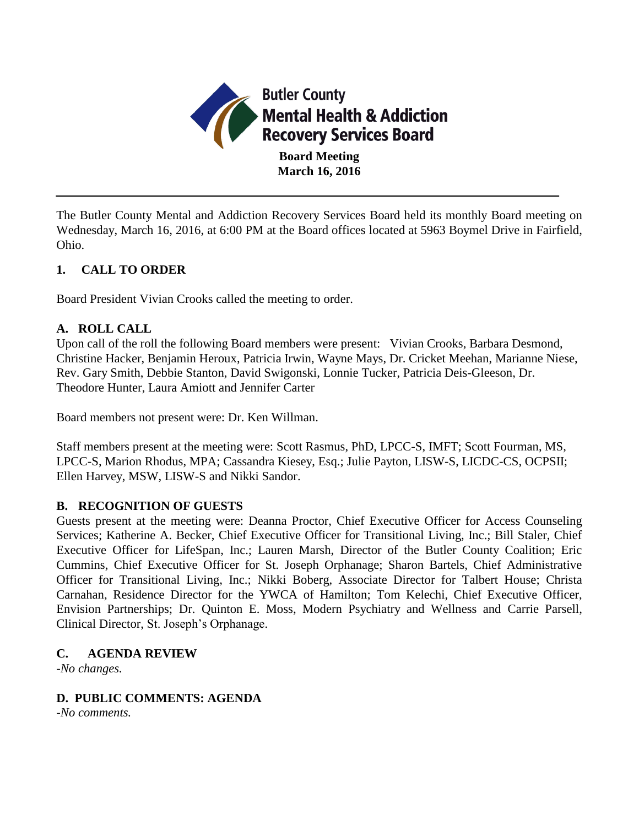

The Butler County Mental and Addiction Recovery Services Board held its monthly Board meeting on Wednesday, March 16, 2016, at 6:00 PM at the Board offices located at 5963 Boymel Drive in Fairfield, Ohio.

# **1. CALL TO ORDER**

Board President Vivian Crooks called the meeting to order.

### **A. ROLL CALL**

Upon call of the roll the following Board members were present: Vivian Crooks, Barbara Desmond, Christine Hacker, Benjamin Heroux, Patricia Irwin, Wayne Mays, Dr. Cricket Meehan, Marianne Niese, Rev. Gary Smith, Debbie Stanton, David Swigonski, Lonnie Tucker, Patricia Deis-Gleeson, Dr. Theodore Hunter, Laura Amiott and Jennifer Carter

Board members not present were: Dr. Ken Willman.

Staff members present at the meeting were: Scott Rasmus, PhD, LPCC-S, IMFT; Scott Fourman, MS, LPCC-S, Marion Rhodus, MPA; Cassandra Kiesey, Esq.; Julie Payton, LISW-S, LICDC-CS, OCPSII; Ellen Harvey, MSW, LISW-S and Nikki Sandor.

## **B. RECOGNITION OF GUESTS**

Guests present at the meeting were: Deanna Proctor, Chief Executive Officer for Access Counseling Services; Katherine A. Becker, Chief Executive Officer for Transitional Living, Inc.; Bill Staler, Chief Executive Officer for LifeSpan, Inc.; Lauren Marsh, Director of the Butler County Coalition; Eric Cummins, Chief Executive Officer for St. Joseph Orphanage; Sharon Bartels, Chief Administrative Officer for Transitional Living, Inc.; Nikki Boberg, Associate Director for Talbert House; Christa Carnahan, Residence Director for the YWCA of Hamilton; Tom Kelechi, Chief Executive Officer, Envision Partnerships; Dr. Quinton E. Moss, Modern Psychiatry and Wellness and Carrie Parsell, Clinical Director, St. Joseph's Orphanage.

## **C. AGENDA REVIEW**

*-No changes.*

#### **D. PUBLIC COMMENTS: AGENDA**

*-No comments.*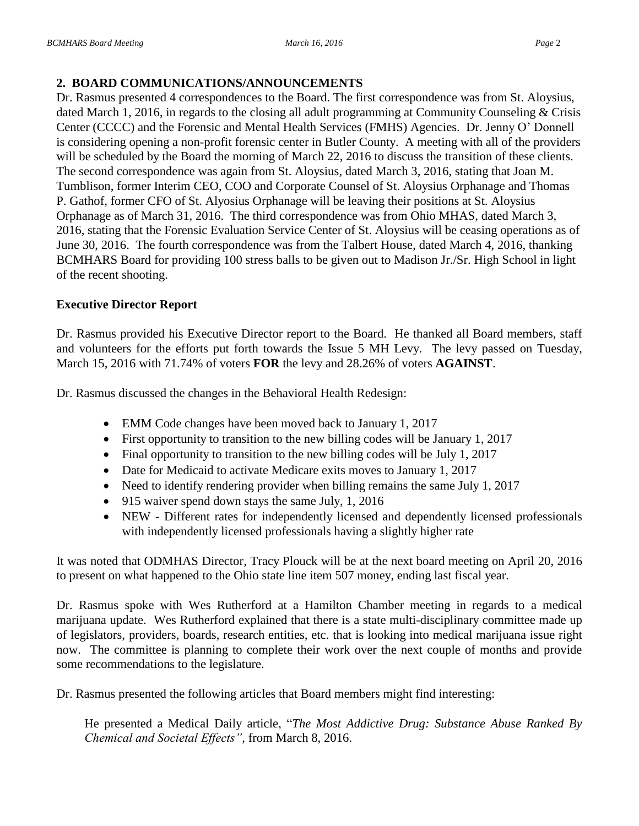## **2. BOARD COMMUNICATIONS/ANNOUNCEMENTS**

Dr. Rasmus presented 4 correspondences to the Board. The first correspondence was from St. Aloysius, dated March 1, 2016, in regards to the closing all adult programming at Community Counseling & Crisis Center (CCCC) and the Forensic and Mental Health Services (FMHS) Agencies. Dr. Jenny O' Donnell is considering opening a non-profit forensic center in Butler County. A meeting with all of the providers will be scheduled by the Board the morning of March 22, 2016 to discuss the transition of these clients. The second correspondence was again from St. Aloysius, dated March 3, 2016, stating that Joan M. Tumblison, former Interim CEO, COO and Corporate Counsel of St. Aloysius Orphanage and Thomas P. Gathof, former CFO of St. Alyosius Orphanage will be leaving their positions at St. Aloysius Orphanage as of March 31, 2016. The third correspondence was from Ohio MHAS, dated March 3, 2016, stating that the Forensic Evaluation Service Center of St. Aloysius will be ceasing operations as of June 30, 2016. The fourth correspondence was from the Talbert House, dated March 4, 2016, thanking BCMHARS Board for providing 100 stress balls to be given out to Madison Jr./Sr. High School in light of the recent shooting.

## **Executive Director Report**

Dr. Rasmus provided his Executive Director report to the Board. He thanked all Board members, staff and volunteers for the efforts put forth towards the Issue 5 MH Levy. The levy passed on Tuesday, March 15, 2016 with 71.74% of voters **FOR** the levy and 28.26% of voters **AGAINST**.

Dr. Rasmus discussed the changes in the Behavioral Health Redesign:

- EMM Code changes have been moved back to January 1, 2017
- First opportunity to transition to the new billing codes will be January 1, 2017
- Final opportunity to transition to the new billing codes will be July 1, 2017
- Date for Medicaid to activate Medicare exits moves to January 1, 2017
- Need to identify rendering provider when billing remains the same July 1, 2017
- 915 waiver spend down stays the same July, 1, 2016
- NEW Different rates for independently licensed and dependently licensed professionals with independently licensed professionals having a slightly higher rate

It was noted that ODMHAS Director, Tracy Plouck will be at the next board meeting on April 20, 2016 to present on what happened to the Ohio state line item 507 money, ending last fiscal year.

Dr. Rasmus spoke with Wes Rutherford at a Hamilton Chamber meeting in regards to a medical marijuana update. Wes Rutherford explained that there is a state multi-disciplinary committee made up of legislators, providers, boards, research entities, etc. that is looking into medical marijuana issue right now. The committee is planning to complete their work over the next couple of months and provide some recommendations to the legislature.

Dr. Rasmus presented the following articles that Board members might find interesting:

He presented a Medical Daily article, "*The Most Addictive Drug: Substance Abuse Ranked By Chemical and Societal Effects"*, from March 8, 2016.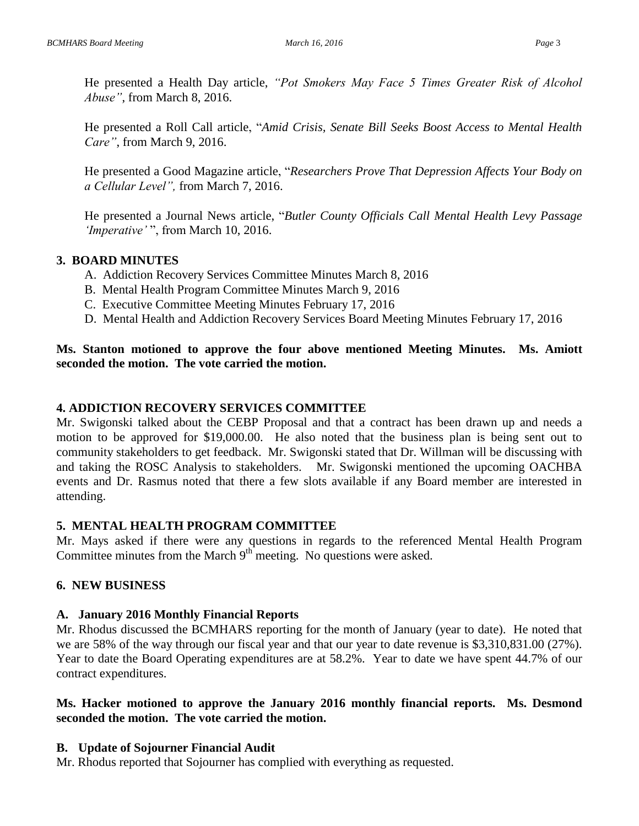He presented a Health Day article, *"Pot Smokers May Face 5 Times Greater Risk of Alcohol Abuse"*, from March 8, 2016.

He presented a Roll Call article, "*Amid Crisis, Senate Bill Seeks Boost Access to Mental Health Care"*, from March 9, 2016.

He presented a Good Magazine article, "*Researchers Prove That Depression Affects Your Body on a Cellular Level",* from March 7, 2016.

He presented a Journal News article, "*Butler County Officials Call Mental Health Levy Passage 'Imperative'* ", from March 10, 2016.

# **3. BOARD MINUTES**

- A. Addiction Recovery Services Committee Minutes March 8, 2016
- B. Mental Health Program Committee Minutes March 9, 2016
- C. Executive Committee Meeting Minutes February 17, 2016
- D. Mental Health and Addiction Recovery Services Board Meeting Minutes February 17, 2016

# **Ms. Stanton motioned to approve the four above mentioned Meeting Minutes. Ms. Amiott seconded the motion. The vote carried the motion.**

## **4. ADDICTION RECOVERY SERVICES COMMITTEE**

Mr. Swigonski talked about the CEBP Proposal and that a contract has been drawn up and needs a motion to be approved for \$19,000.00. He also noted that the business plan is being sent out to community stakeholders to get feedback. Mr. Swigonski stated that Dr. Willman will be discussing with and taking the ROSC Analysis to stakeholders. Mr. Swigonski mentioned the upcoming OACHBA events and Dr. Rasmus noted that there a few slots available if any Board member are interested in attending.

## **5. MENTAL HEALTH PROGRAM COMMITTEE**

Mr. Mays asked if there were any questions in regards to the referenced Mental Health Program Committee minutes from the March  $9<sup>th</sup>$  meeting. No questions were asked.

## **6. NEW BUSINESS**

## **A. January 2016 Monthly Financial Reports**

Mr. Rhodus discussed the BCMHARS reporting for the month of January (year to date). He noted that we are 58% of the way through our fiscal year and that our year to date revenue is \$3,310,831.00 (27%). Year to date the Board Operating expenditures are at 58.2%. Year to date we have spent 44.7% of our contract expenditures.

# **Ms. Hacker motioned to approve the January 2016 monthly financial reports. Ms. Desmond seconded the motion. The vote carried the motion.**

## **B. Update of Sojourner Financial Audit**

Mr. Rhodus reported that Sojourner has complied with everything as requested.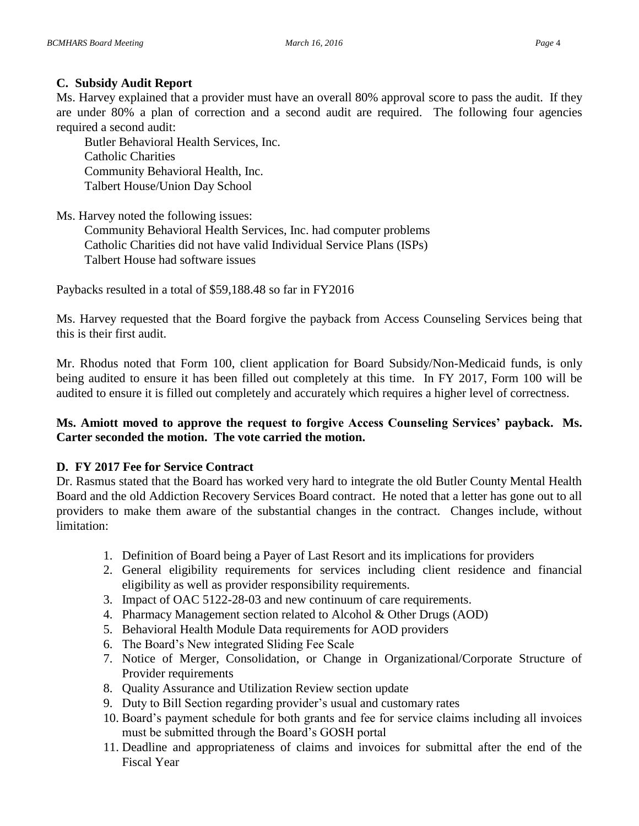# **C. Subsidy Audit Report**

Ms. Harvey explained that a provider must have an overall 80% approval score to pass the audit. If they are under 80% a plan of correction and a second audit are required. The following four agencies required a second audit:

Butler Behavioral Health Services, Inc. Catholic Charities Community Behavioral Health, Inc. Talbert House/Union Day School

Ms. Harvey noted the following issues:

Community Behavioral Health Services, Inc. had computer problems Catholic Charities did not have valid Individual Service Plans (ISPs) Talbert House had software issues

Paybacks resulted in a total of \$59,188.48 so far in FY2016

Ms. Harvey requested that the Board forgive the payback from Access Counseling Services being that this is their first audit.

Mr. Rhodus noted that Form 100, client application for Board Subsidy/Non-Medicaid funds, is only being audited to ensure it has been filled out completely at this time. In FY 2017, Form 100 will be audited to ensure it is filled out completely and accurately which requires a higher level of correctness.

# **Ms. Amiott moved to approve the request to forgive Access Counseling Services' payback. Ms. Carter seconded the motion. The vote carried the motion.**

## **D. FY 2017 Fee for Service Contract**

Dr. Rasmus stated that the Board has worked very hard to integrate the old Butler County Mental Health Board and the old Addiction Recovery Services Board contract. He noted that a letter has gone out to all providers to make them aware of the substantial changes in the contract. Changes include, without limitation:

- 1. Definition of Board being a Payer of Last Resort and its implications for providers
- 2. General eligibility requirements for services including client residence and financial eligibility as well as provider responsibility requirements.
- 3. Impact of OAC 5122-28-03 and new continuum of care requirements.
- 4. Pharmacy Management section related to Alcohol & Other Drugs (AOD)
- 5. Behavioral Health Module Data requirements for AOD providers
- 6. The Board's New integrated Sliding Fee Scale
- 7. Notice of Merger, Consolidation, or Change in Organizational/Corporate Structure of Provider requirements
- 8. Quality Assurance and Utilization Review section update
- 9. Duty to Bill Section regarding provider's usual and customary rates
- 10. Board's payment schedule for both grants and fee for service claims including all invoices must be submitted through the Board's GOSH portal
- 11. Deadline and appropriateness of claims and invoices for submittal after the end of the Fiscal Year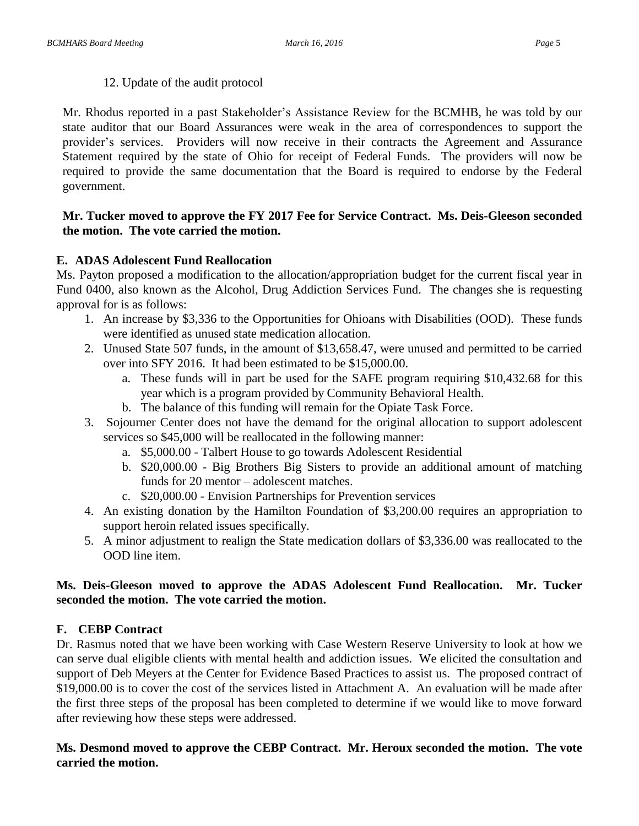12. Update of the audit protocol

Mr. Rhodus reported in a past Stakeholder's Assistance Review for the BCMHB, he was told by our state auditor that our Board Assurances were weak in the area of correspondences to support the provider's services. Providers will now receive in their contracts the Agreement and Assurance Statement required by the state of Ohio for receipt of Federal Funds. The providers will now be required to provide the same documentation that the Board is required to endorse by the Federal government.

### **Mr. Tucker moved to approve the FY 2017 Fee for Service Contract. Ms. Deis-Gleeson seconded the motion. The vote carried the motion.**

### **E. ADAS Adolescent Fund Reallocation**

Ms. Payton proposed a modification to the allocation/appropriation budget for the current fiscal year in Fund 0400, also known as the Alcohol, Drug Addiction Services Fund. The changes she is requesting approval for is as follows:

- 1. An increase by \$3,336 to the Opportunities for Ohioans with Disabilities (OOD). These funds were identified as unused state medication allocation.
- 2. Unused State 507 funds, in the amount of \$13,658.47, were unused and permitted to be carried over into SFY 2016. It had been estimated to be \$15,000.00.
	- a. These funds will in part be used for the SAFE program requiring \$10,432.68 for this year which is a program provided by Community Behavioral Health.
	- b. The balance of this funding will remain for the Opiate Task Force.
- 3. Sojourner Center does not have the demand for the original allocation to support adolescent services so \$45,000 will be reallocated in the following manner:
	- a. \$5,000.00 Talbert House to go towards Adolescent Residential
	- b. \$20,000.00 Big Brothers Big Sisters to provide an additional amount of matching funds for 20 mentor – adolescent matches.
	- c. \$20,000.00 Envision Partnerships for Prevention services
- 4. An existing donation by the Hamilton Foundation of \$3,200.00 requires an appropriation to support heroin related issues specifically.
- 5. A minor adjustment to realign the State medication dollars of \$3,336.00 was reallocated to the OOD line item.

## **Ms. Deis-Gleeson moved to approve the ADAS Adolescent Fund Reallocation. Mr. Tucker seconded the motion. The vote carried the motion.**

#### **F. CEBP Contract**

Dr. Rasmus noted that we have been working with Case Western Reserve University to look at how we can serve dual eligible clients with mental health and addiction issues. We elicited the consultation and support of Deb Meyers at the Center for Evidence Based Practices to assist us. The proposed contract of \$19,000.00 is to cover the cost of the services listed in Attachment A. An evaluation will be made after the first three steps of the proposal has been completed to determine if we would like to move forward after reviewing how these steps were addressed.

### **Ms. Desmond moved to approve the CEBP Contract. Mr. Heroux seconded the motion. The vote carried the motion.**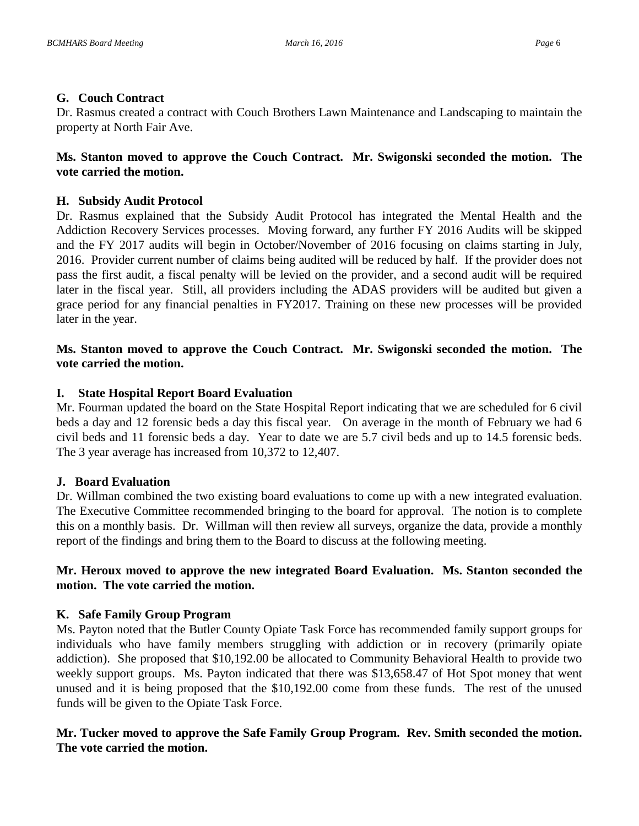### **G. Couch Contract**

Dr. Rasmus created a contract with Couch Brothers Lawn Maintenance and Landscaping to maintain the property at North Fair Ave.

# **Ms. Stanton moved to approve the Couch Contract. Mr. Swigonski seconded the motion. The vote carried the motion.**

## **H. Subsidy Audit Protocol**

Dr. Rasmus explained that the Subsidy Audit Protocol has integrated the Mental Health and the Addiction Recovery Services processes. Moving forward, any further FY 2016 Audits will be skipped and the FY 2017 audits will begin in October/November of 2016 focusing on claims starting in July, 2016. Provider current number of claims being audited will be reduced by half. If the provider does not pass the first audit, a fiscal penalty will be levied on the provider, and a second audit will be required later in the fiscal year. Still, all providers including the ADAS providers will be audited but given a grace period for any financial penalties in FY2017. Training on these new processes will be provided later in the year.

## **Ms. Stanton moved to approve the Couch Contract. Mr. Swigonski seconded the motion. The vote carried the motion.**

## **I. State Hospital Report Board Evaluation**

Mr. Fourman updated the board on the State Hospital Report indicating that we are scheduled for 6 civil beds a day and 12 forensic beds a day this fiscal year. On average in the month of February we had 6 civil beds and 11 forensic beds a day. Year to date we are 5.7 civil beds and up to 14.5 forensic beds. The 3 year average has increased from 10,372 to 12,407.

## **J. Board Evaluation**

Dr. Willman combined the two existing board evaluations to come up with a new integrated evaluation. The Executive Committee recommended bringing to the board for approval. The notion is to complete this on a monthly basis. Dr. Willman will then review all surveys, organize the data, provide a monthly report of the findings and bring them to the Board to discuss at the following meeting.

## **Mr. Heroux moved to approve the new integrated Board Evaluation. Ms. Stanton seconded the motion. The vote carried the motion.**

## **K. Safe Family Group Program**

Ms. Payton noted that the Butler County Opiate Task Force has recommended family support groups for individuals who have family members struggling with addiction or in recovery (primarily opiate addiction). She proposed that \$10,192.00 be allocated to Community Behavioral Health to provide two weekly support groups. Ms. Payton indicated that there was \$13,658.47 of Hot Spot money that went unused and it is being proposed that the \$10,192.00 come from these funds. The rest of the unused funds will be given to the Opiate Task Force.

## **Mr. Tucker moved to approve the Safe Family Group Program. Rev. Smith seconded the motion. The vote carried the motion.**